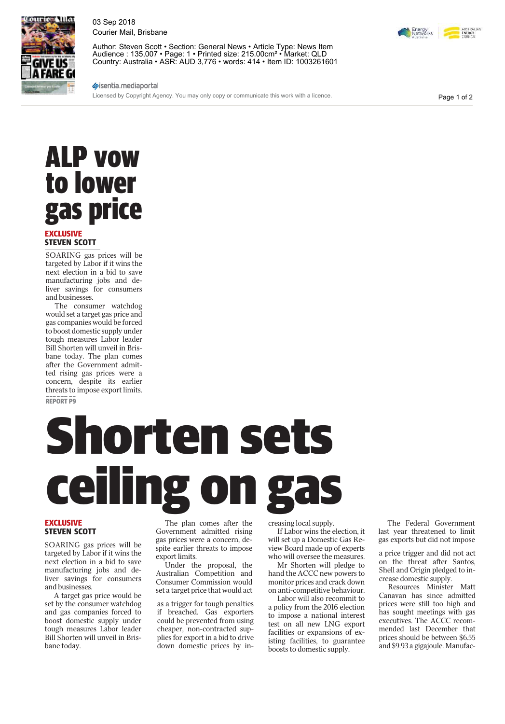

03 Sep 2018 Courier Mail, Brisbane

Author: Steven Scott • Section: General News • Article Type: News Item Audience : 135,007 • Page: 1 • Printed size: 215.00cm² • Market: QLD Country: Australia • ASR: AUD 3,776 • words: 414 • Item ID: 1003261601

### sisentia.mediaportal

Licensed by Copyright Agency. You may only copy or communicate this work with a licence.

Page 1 of 2

## ALP vow to lower gas price

#### **EXCLUSIVE STEVEN SCOTT**

SOARING gas prices will be targeted by Labor if it wins the next election in a bid to save manufacturing jobs and deliver savings for consumers and businesses.

The consumer watchdog would set a target gas price and gas companies would be forced to boost domestic supply under tough measures Labor leader Bill Shorten will unveil in Brisbane today. The plan comes after the Government admitted rising gas prices were a concern, despite its earlier threats to impose export limits. **REPORT P9 REPORT P9**

# **Shorten sets** ceiling

### **EXCLUSIVE STEVEN SCOTT**

SOARING gas prices will be targeted by Labor if it wins the next election in a bid to save manufacturing jobs and deliver savings for consumers and businesses.

A target gas price would be set by the consumer watchdog and gas companies forced to boost domestic supply under tough measures Labor leader Bill Shorten will unveil in Brisbane today.

EXCLUSIVE<br>
The plan comes after the<br>
STEVEN SCOTT<br>
SOARING gas prices will be<br>
gas prices were a concern, de-<br>
spite earlier threats to impose<br>
angeted by Labor if it wins the<br>
export limits.<br>
Who will oversee the me The plan comes after the Government admitted rising gas prices were a concern, despite earlier threats to impose export limits.

Under the proposal, the Australian Competition and Consumer Commission would set a target price that would act

as a trigger for tough penalties if breached. Gas exporters could be prevented from using cheaper, non-contracted supplies for export in a bid to drive down domestic prices by increasing local supply.

If Labor wins the election, it will set up a Domestic Gas Review Board made up of experts who will oversee the measures.

Mr Shorten will pledge to hand the ACCC new powers to monitor prices and crack down on anti-competitive behaviour.

Labor will also recommit to a policy from the 2016 election to impose a national interest test on all new LNG export facilities or expansions of existing facilities, to guarantee boosts to domestic supply.

The Federal Government last year threatened to limit gas exports but did not impose

a price trigger and did not act on the threat after Santos, Shell and Origin pledged to increase domestic supply.

Resources Minister Matt Canavan has since admitted prices were still too high and has sought meetings with gas executives. The ACCC recommended last December that prices should be between \$6.55 and \$9.93 a gigajoule. Manufac-